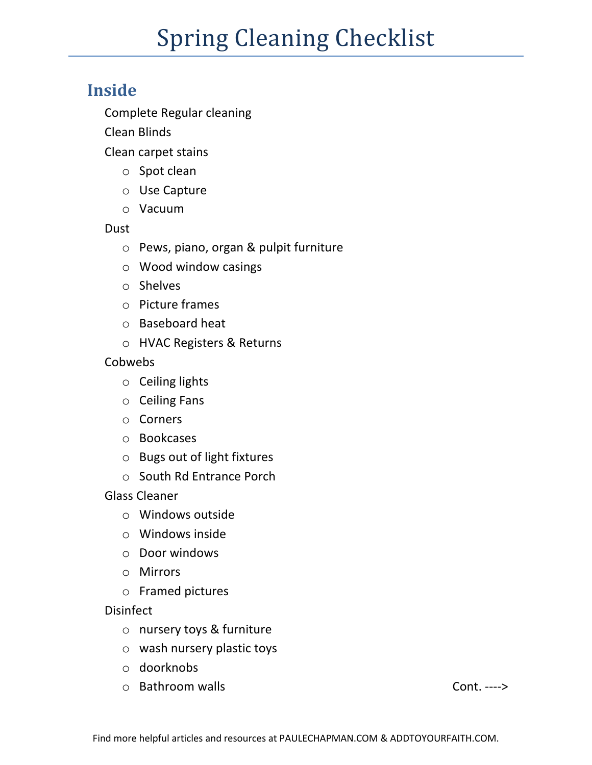# **Spring Cleaning Checklist**

## **Inside**

Complete Regular cleaning

Clean Blinds

Clean carpet stains

- o Spot clean
- o Use Capture
- o Vacuum

#### Dust

- o Pews, piano, organ & pulpit furniture
- o Wood window casings
- o Shelves
- o Picture frames
- o Baseboard heat
- o HVAC Registers & Returns

Cobwebs

- o Ceiling lights
- o Ceiling Fans
- o Corners
- o Bookcases
- o Bugs out of light fixtures
- o South Rd Entrance Porch

Glass Cleaner

- o Windows outside
- o Windows inside
- o Door windows
- o Mirrors
- o Framed pictures

Disinfect

- o nursery toys & furniture
- o wash nursery plastic toys
- o doorknobs
- o Bathroom walls Cont. ---->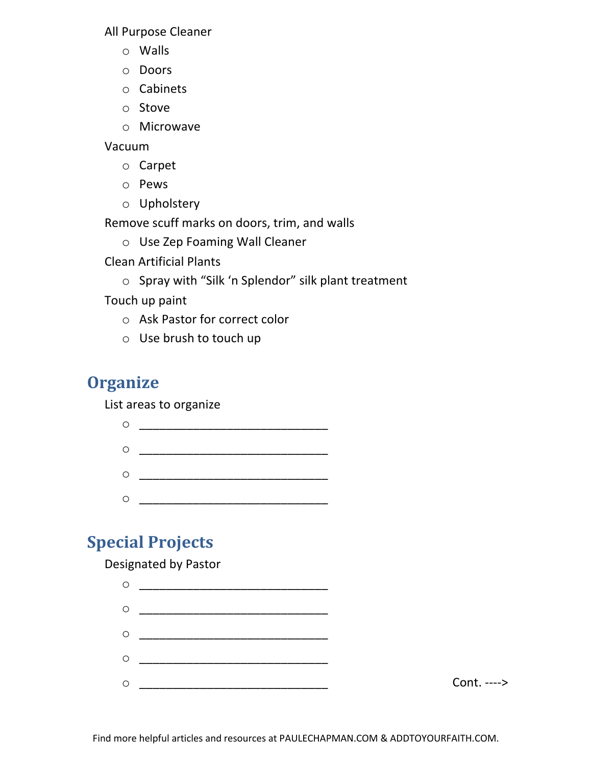All Purpose Cleaner

- o Walls
- o Doors
- o Cabinets
- o Stove
- o Microwave

Vacuum

- o Carpet
- o Pews
- o Upholstery

Remove scuff marks on doors, trim, and walls

o Use Zep Foaming Wall Cleaner

Clean Artificial Plants

o Spray with "Silk 'n Splendor" silk plant treatment

Touch up paint

- o Ask Pastor for correct color
- o Use brush to touch up

# **Organize**

List areas to organize

| O       |  |
|---------|--|
| $\circ$ |  |
| $\circ$ |  |
| O       |  |

# **Special Projects**

Designated by Pastor